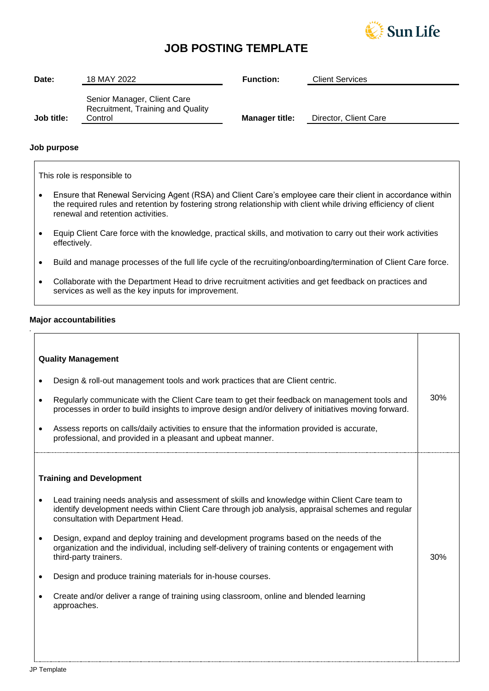

# **JOB POSTING TEMPLATE**

| Date:      | 18 MAY 2022                                                                 | <b>Function:</b>      | <b>Client Services</b> |
|------------|-----------------------------------------------------------------------------|-----------------------|------------------------|
| Job title: | Senior Manager, Client Care<br>Recruitment, Training and Quality<br>Control | <b>Manager title:</b> | Director, Client Care  |

### **Job purpose**

This role is responsible to

- Ensure that Renewal Servicing Agent (RSA) and Client Care's employee care their client in accordance within the required rules and retention by fostering strong relationship with client while driving efficiency of client renewal and retention activities.
- Equip Client Care force with the knowledge, practical skills, and motivation to carry out their work activities effectively.
- Build and manage processes of the full life cycle of the recruiting/onboarding/termination of Client Care force.
- Collaborate with the Department Head to drive recruitment activities and get feedback on practices and services as well as the key inputs for improvement.

#### **Major accountabilities**

*.*

| <b>Quality Management</b> |                                                                                                                                                                                                                                           |     |
|---------------------------|-------------------------------------------------------------------------------------------------------------------------------------------------------------------------------------------------------------------------------------------|-----|
|                           | Design & roll-out management tools and work practices that are Client centric.                                                                                                                                                            |     |
|                           | Regularly communicate with the Client Care team to get their feedback on management tools and<br>processes in order to build insights to improve design and/or delivery of initiatives moving forward.                                    | 30% |
|                           | Assess reports on calls/daily activities to ensure that the information provided is accurate,<br>professional, and provided in a pleasant and upbeat manner.                                                                              |     |
|                           | <b>Training and Development</b>                                                                                                                                                                                                           |     |
|                           | Lead training needs analysis and assessment of skills and knowledge within Client Care team to<br>identify development needs within Client Care through job analysis, appraisal schemes and regular<br>consultation with Department Head. |     |
|                           | Design, expand and deploy training and development programs based on the needs of the<br>organization and the individual, including self-delivery of training contents or engagement with<br>third-party trainers.                        | 30% |
|                           | Design and produce training materials for in-house courses.                                                                                                                                                                               |     |
|                           | Create and/or deliver a range of training using classroom, online and blended learning<br>approaches.                                                                                                                                     |     |
|                           |                                                                                                                                                                                                                                           |     |
|                           |                                                                                                                                                                                                                                           |     |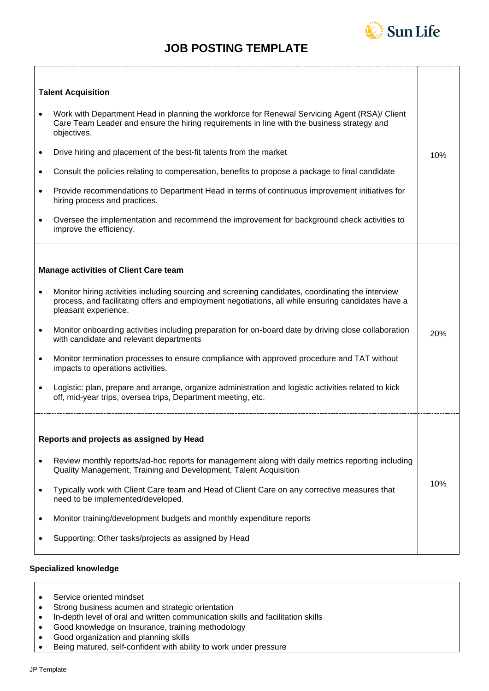# **JOB POSTING TEMPLATE**



10%

10%

## **Talent Acquisition**

| Work with Department Head in planning the workforce for Renewal Servicing Agent (RSA)/ Client |
|-----------------------------------------------------------------------------------------------|
| Care Team Leader and ensure the hiring requirements in line with the business strategy and    |
| objectives.                                                                                   |

- Drive hiring and placement of the best-fit talents from the market
- Consult the policies relating to compensation, benefits to propose a package to final candidate
- Provide recommendations to Department Head in terms of continuous improvement initiatives for hiring process and practices.
- Oversee the implementation and recommend the improvement for background check activities to improve the efficiency.

#### **Manage activities of Client Care team**

- Monitor hiring activities including sourcing and screening candidates, coordinating the interview process, and facilitating offers and employment negotiations, all while ensuring candidates have a pleasant experience.
- Monitor onboarding activities including preparation for on-board date by driving close collaboration with candidate and relevant departments 20%
- Monitor termination processes to ensure compliance with approved procedure and TAT without impacts to operations activities.
- Logistic: plan, prepare and arrange, organize administration and logistic activities related to kick off, mid-year trips, oversea trips, Department meeting, etc.

#### **Reports and projects as assigned by Head**

- Review monthly reports/ad-hoc reports for management along with daily metrics reporting including Quality Management, Training and Development, Talent Acquisition
- Typically work with Client Care team and Head of Client Care on any corrective measures that need to be implemented/developed.
- Monitor training/development budgets and monthly expenditure reports
- Supporting: Other tasks/projects as assigned by Head

#### **Specialized knowledge**

- Service oriented mindset
- Strong business acumen and strategic orientation
- In-depth level of oral and written communication skills and facilitation skills
- Good knowledge on Insurance, training methodology
- Good organization and planning skills
- Being matured, self-confident with ability to work under pressure